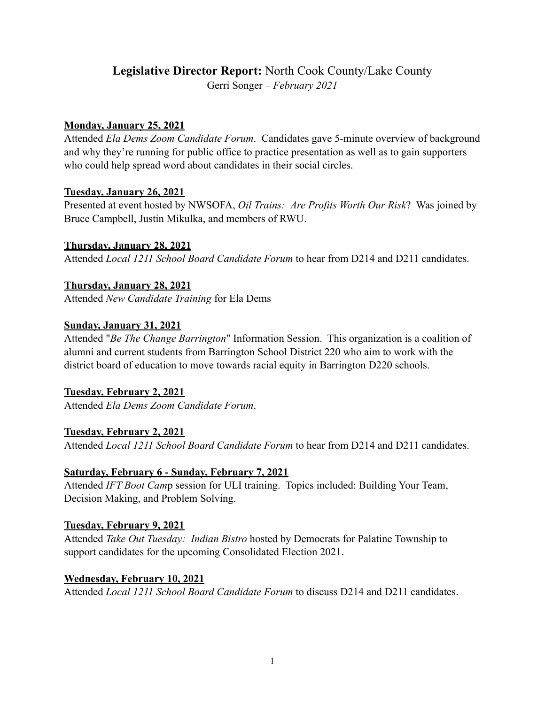# **Legislative Director Report:** North Cook County/Lake County

Gerri Songer – *February 2021*

### **Monday, January 25, 2021**

Attended *Ela Dems Zoom Candidate Forum*. Candidates gave 5-minute overview of background and why they're running for public office to practice presentation as well as to gain supporters who could help spread word about candidates in their social circles.

### **Tuesday, January 26, 2021**

Presented at event hosted by NWSOFA, *Oil Trains: Are Profits Worth Our Risk*? Was joined by Bruce Campbell, Justin Mikulka, and members of RWU.

# **Thursday, January 28, 2021**

Attended *Local 1211 School Board Candidate Forum* to hear from D214 and D211 candidates.

# **Thursday, January 28, 2021**

Attended *New Candidate Training* for Ela Dems

### **Sunday, January 31, 2021**

Attended "*Be The Change Barrington*" Information Session. This organization is a coalition of alumni and current students from Barrington School District 220 who aim to work with the district board of education to move towards racial equity in Barrington D220 schools.

# **Tuesday, February 2, 2021**

Attended *Ela Dems Zoom Candidate Forum*.

# **Tuesday, February 2, 2021**

Attended *Local 1211 School Board Candidate Forum* to hear from D214 and D211 candidates.

#### **Saturday, February 6 - Sunday, February 7, 2021**

Attended *IFT Boot Cam*p session for ULI training. Topics included: Building Your Team, Decision Making, and Problem Solving.

# **Tuesday, February 9, 2021**

Attended *Take Out Tuesday: Indian Bistro* hosted by Democrats for Palatine Township to support candidates for the upcoming Consolidated Election 2021.

#### **Wednesday, February 10, 2021**

Attended *Local 1211 School Board Candidate Forum* to discuss D214 and D211 candidates.